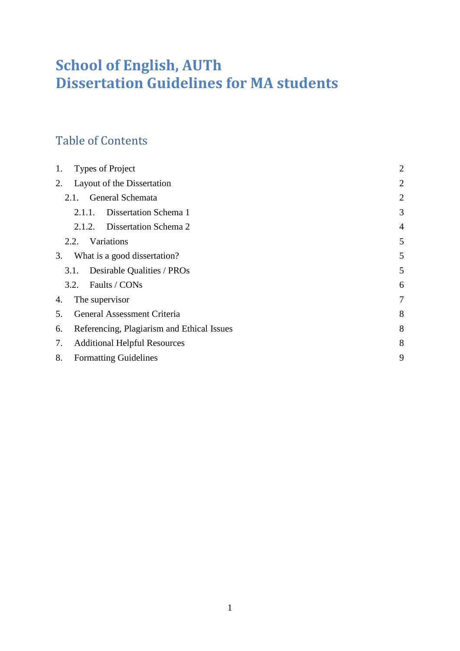# **School of English, AUTh Dissertation Guidelines for MA students**

# Table of Contents

| 1. | <b>Types of Project</b>                    | $\overline{2}$ |
|----|--------------------------------------------|----------------|
| 2. | Layout of the Dissertation                 | $\overline{2}$ |
|    | General Schemata<br>2.1.                   | $\overline{2}$ |
|    | Dissertation Schema 1<br>2.1.1.            | 3              |
|    | Dissertation Schema 2<br>2.1.2.            | $\overline{4}$ |
|    | Variations<br>2.2.                         | 5              |
| 3. | What is a good dissertation?               | 5              |
|    | Desirable Qualities / PROs<br>3.1.         | 5              |
|    | Faults / CONs<br>3.2.                      | 6              |
| 4. | The supervisor                             | 7              |
| 5. | General Assessment Criteria                | 8              |
| 6. | Referencing, Plagiarism and Ethical Issues | 8              |
| 7. | <b>Additional Helpful Resources</b>        | 8              |
| 8. | <b>Formatting Guidelines</b>               | 9              |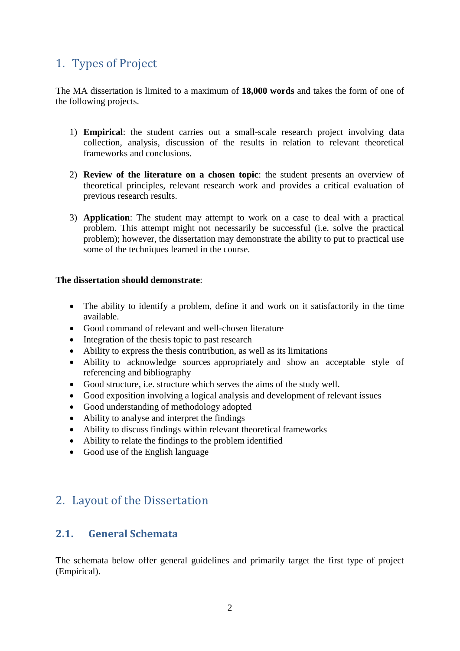# <span id="page-1-0"></span>1. Types of Project

The MA dissertation is limited to a maximum of **18,000 words** and takes the form of one of the following projects.

- 1) **Empirical**: the student carries out a small-scale research project involving data collection, analysis, discussion of the results in relation to relevant theoretical frameworks and conclusions.
- 2) **Review of the literature on a chosen topic**: the student presents an overview of theoretical principles, relevant research work and provides a critical evaluation of previous research results.
- 3) **Application**: The student may attempt to work on a case to deal with a practical problem. This attempt might not necessarily be successful (i.e. solve the practical problem); however, the dissertation may demonstrate the ability to put to practical use some of the techniques learned in the course.

### **The dissertation should demonstrate**:

- The ability to identify a problem, define it and work on it satisfactorily in the time available.
- Good command of relevant and well-chosen literature
- Integration of the thesis topic to past research
- Ability to express the thesis contribution, as well as its limitations
- Ability to acknowledge sources appropriately and show an acceptable style of referencing and bibliography
- Good structure, i.e. structure which serves the aims of the study well.
- Good exposition involving a logical analysis and development of relevant issues
- Good understanding of methodology adopted
- Ability to analyse and interpret the findings
- Ability to discuss findings within relevant theoretical frameworks
- Ability to relate the findings to the problem identified
- Good use of the English language

# <span id="page-1-1"></span>2. Layout of the Dissertation

# <span id="page-1-2"></span>**2.1. General Schemata**

The schemata below offer general guidelines and primarily target the first type of project (Empirical).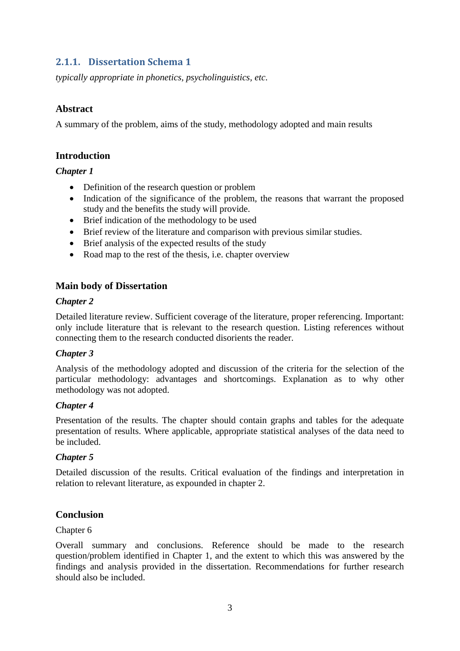# <span id="page-2-0"></span>**2.1.1. Dissertation Schema 1**

*typically appropriate in phonetics, psycholinguistics, etc*.

### **Abstract**

A summary of the problem, aims of the study, methodology adopted and main results

### **Introduction**

### *Chapter 1*

- Definition of the research question or problem
- Indication of the significance of the problem, the reasons that warrant the proposed study and the benefits the study will provide.
- Brief indication of the methodology to be used
- Brief review of the literature and comparison with previous similar studies.
- Brief analysis of the expected results of the study
- Road map to the rest of the thesis, i.e. chapter overview

### **Main body of Dissertation**

#### *Chapter 2*

Detailed literature review. Sufficient coverage of the literature, proper referencing. Important: only include literature that is relevant to the research question. Listing references without connecting them to the research conducted disorients the reader.

#### *Chapter 3*

Analysis of the methodology adopted and discussion of the criteria for the selection of the particular methodology: advantages and shortcomings. Explanation as to why other methodology was not adopted.

#### *Chapter 4*

Presentation of the results. The chapter should contain graphs and tables for the adequate presentation of results. Where applicable, appropriate statistical analyses of the data need to be included.

### *Chapter 5*

Detailed discussion of the results. Critical evaluation of the findings and interpretation in relation to relevant literature, as expounded in chapter 2.

### **Conclusion**

#### Chapter 6

Overall summary and conclusions. Reference should be made to the research question/problem identified in Chapter 1, and the extent to which this was answered by the findings and analysis provided in the dissertation. Recommendations for further research should also be included.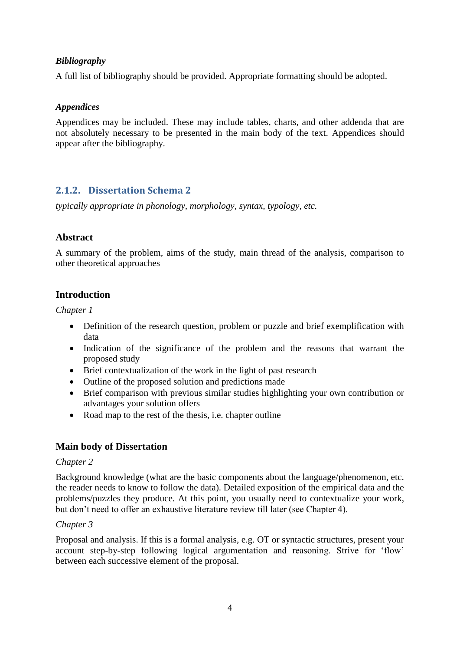### *Bibliography*

A full list of bibliography should be provided. Appropriate formatting should be adopted.

### *Appendices*

Appendices may be included. These may include tables, charts, and other addenda that are not absolutely necessary to be presented in the main body of the text. Appendices should appear after the bibliography.

# <span id="page-3-0"></span>**2.1.2. Dissertation Schema 2**

*typically appropriate in phonology, morphology, syntax, typology, etc.*

## **Abstract**

A summary of the problem, aims of the study, main thread of the analysis, comparison to other theoretical approaches

## **Introduction**

*Chapter 1*

- Definition of the research question, problem or puzzle and brief exemplification with data
- Indication of the significance of the problem and the reasons that warrant the proposed study
- Brief contextualization of the work in the light of past research
- Outline of the proposed solution and predictions made
- Brief comparison with previous similar studies highlighting your own contribution or advantages your solution offers
- Road map to the rest of the thesis, i.e. chapter outline

## **Main body of Dissertation**

### *Chapter 2*

Background knowledge (what are the basic components about the language/phenomenon, etc. the reader needs to know to follow the data). Detailed exposition of the empirical data and the problems/puzzles they produce. At this point, you usually need to contextualize your work, but don"t need to offer an exhaustive literature review till later (see Chapter 4).

### *Chapter 3*

Proposal and analysis. If this is a formal analysis, e.g. OT or syntactic structures, present your account step-by-step following logical argumentation and reasoning. Strive for "flow" between each successive element of the proposal.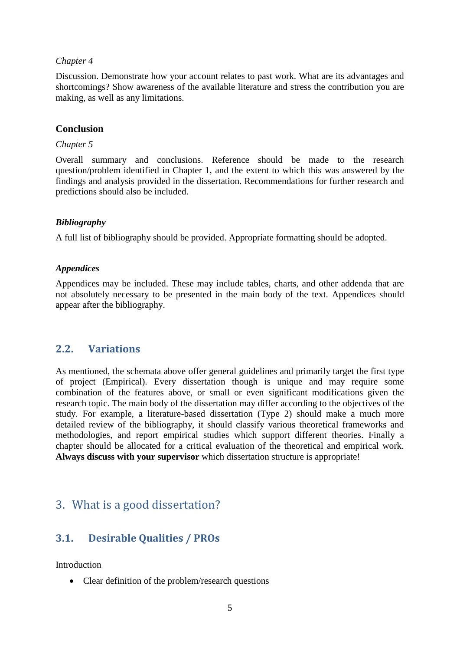#### *Chapter 4*

Discussion. Demonstrate how your account relates to past work. What are its advantages and shortcomings? Show awareness of the available literature and stress the contribution you are making, as well as any limitations.

#### **Conclusion**

#### *Chapter 5*

Overall summary and conclusions. Reference should be made to the research question/problem identified in Chapter 1, and the extent to which this was answered by the findings and analysis provided in the dissertation. Recommendations for further research and predictions should also be included.

#### *Bibliography*

A full list of bibliography should be provided. Appropriate formatting should be adopted.

#### *Appendices*

Appendices may be included. These may include tables, charts, and other addenda that are not absolutely necessary to be presented in the main body of the text. Appendices should appear after the bibliography.

### <span id="page-4-0"></span>**2.2. Variations**

As mentioned, the schemata above offer general guidelines and primarily target the first type of project (Empirical). Every dissertation though is unique and may require some combination of the features above, or small or even significant modifications given the research topic. The main body of the dissertation may differ according to the objectives of the study. For example, a literature-based dissertation (Type 2) should make a much more detailed review of the bibliography, it should classify various theoretical frameworks and methodologies, and report empirical studies which support different theories. Finally a chapter should be allocated for a critical evaluation of the theoretical and empirical work. **Always discuss with your supervisor** which dissertation structure is appropriate!

# <span id="page-4-1"></span>3. What is a good dissertation?

# <span id="page-4-2"></span>**3.1. Desirable Qualities / PROs**

Introduction

• Clear definition of the problem/research questions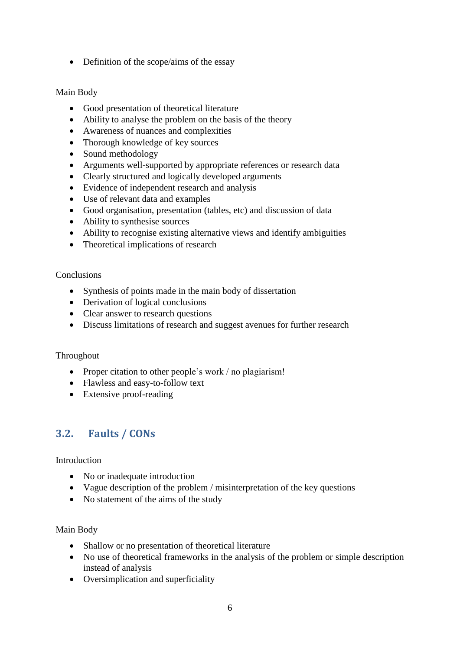• Definition of the scope/aims of the essay

#### Main Body

- Good presentation of theoretical literature
- Ability to analyse the problem on the basis of the theory
- Awareness of nuances and complexities
- Thorough knowledge of key sources
- Sound methodology
- Arguments well-supported by appropriate references or research data
- Clearly structured and logically developed arguments
- Evidence of independent research and analysis
- Use of relevant data and examples
- Good organisation, presentation (tables, etc) and discussion of data
- Ability to synthesise sources
- Ability to recognise existing alternative views and identify ambiguities
- Theoretical implications of research

#### Conclusions

- Synthesis of points made in the main body of dissertation
- Derivation of logical conclusions
- Clear answer to research questions
- Discuss limitations of research and suggest avenues for further research

#### Throughout

- Proper citation to other people's work / no plagiarism!
- Flawless and easy-to-follow text
- Extensive proof-reading

# <span id="page-5-0"></span>**3.2. Faults / CONs**

#### Introduction

- No or inadequate introduction
- Vague description of the problem / misinterpretation of the key questions
- No statement of the aims of the study

#### Main Body

- Shallow or no presentation of theoretical literature
- No use of theoretical frameworks in the analysis of the problem or simple description instead of analysis
- Oversimplication and superficiality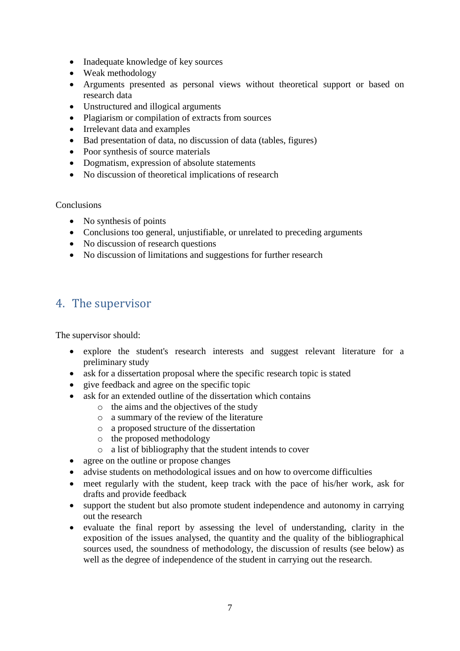- Inadequate knowledge of key sources
- Weak methodology
- Arguments presented as personal views without theoretical support or based on research data
- Unstructured and illogical arguments
- Plagiarism or compilation of extracts from sources
- Irrelevant data and examples
- Bad presentation of data, no discussion of data (tables, figures)
- Poor synthesis of source materials
- Dogmatism, expression of absolute statements
- No discussion of theoretical implications of research

#### **Conclusions**

- No synthesis of points
- Conclusions too general, unjustifiable, or unrelated to preceding arguments
- No discussion of research questions
- No discussion of limitations and suggestions for further research

# <span id="page-6-0"></span>4. The supervisor

The supervisor should:

- explore the student's research interests and suggest relevant literature for a preliminary study
- ask for a dissertation proposal where the specific research topic is stated
- give feedback and agree on the specific topic
- ask for an extended outline of the dissertation which contains
	- o the aims and the objectives of the study
	- o a summary of the review of the literature
	- o a proposed structure of the dissertation
	- o the proposed methodology
	- o a list of bibliography that the student intends to cover
- agree on the outline or propose changes
- advise students on methodological issues and on how to overcome difficulties
- meet regularly with the student, keep track with the pace of his/her work, ask for drafts and provide feedback
- support the student but also promote student independence and autonomy in carrying out the research
- evaluate the final report by assessing the level of understanding, clarity in the exposition of the issues analysed, the quantity and the quality of the bibliographical sources used, the soundness of methodology, the discussion of results (see below) as well as the degree of independence of the student in carrying out the research.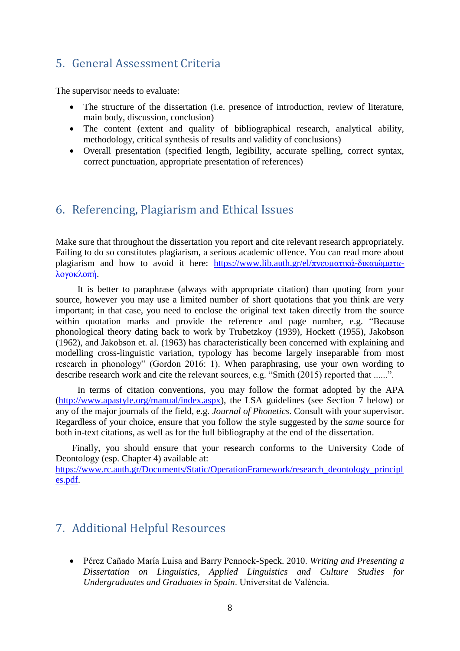# <span id="page-7-0"></span>5. General Assessment Criteria

The supervisor needs to evaluate:

- The structure of the dissertation (i.e. presence of introduction, review of literature, main body, discussion, conclusion)
- The content (extent and quality of bibliographical research, analytical ability, methodology, critical synthesis of results and validity of conclusions)
- Overall presentation (specified length, legibility, accurate spelling, correct syntax, correct punctuation, appropriate presentation of references)

# <span id="page-7-1"></span>6. Referencing, Plagiarism and Ethical Issues

Make sure that throughout the dissertation you report and cite relevant research appropriately. Failing to do so constitutes plagiarism, a serious academic offence. You can read more about plagiarism and how to avoid it here: [https://www.lib.auth.gr/el/πνευματικά-δικαιώματα](https://www.lib.auth.gr/el/πνευματικά-δικαιώματα-λογοκλοπή)[λογοκλοπή.](https://www.lib.auth.gr/el/πνευματικά-δικαιώματα-λογοκλοπή)

It is better to paraphrase (always with appropriate citation) than quoting from your source, however you may use a limited number of short quotations that you think are very important; in that case, you need to enclose the original text taken directly from the source within quotation marks and provide the reference and page number, e.g. "Because phonological theory dating back to work by Trubetzkoy (1939), Hockett (1955), Jakobson (1962), and Jakobson et. al. (1963) has characteristically been concerned with explaining and modelling cross-linguistic variation, typology has become largely inseparable from most research in phonology" (Gordon 2016: 1). When paraphrasing, use your own wording to describe research work and cite the relevant sources, e.g. "Smith (2015) reported that ......".

In terms of citation conventions, you may follow the format adopted by the APA [\(http://www.apastyle.org/manual/index.aspx\)](http://www.apastyle.org/manual/index.aspx), the LSA guidelines (see Section 7 below) or any of the major journals of the field, e.g. *Journal of Phonetics*. Consult with your supervisor. Regardless of your choice, ensure that you follow the style suggested by the *same* source for both in-text citations, as well as for the full bibliography at the end of the dissertation.

Finally, you should ensure that your research conforms to the University Code of Deontology (esp. Chapter 4) available at:

[https://www.rc.auth.gr/Documents/Static/OperationFramework/research\\_deontology\\_principl](https://www.rc.auth.gr/Documents/Static/OperationFramework/research_deontology_principles.pdf) [es.pdf.](https://www.rc.auth.gr/Documents/Static/OperationFramework/research_deontology_principles.pdf)

# <span id="page-7-2"></span>7. Additional Helpful Resources

 Pérez Cañado María Luisa and Barry Pennock-Speck. 2010. *Writing and Presenting a Dissertation on Linguistics, Applied Linguistics and Culture Studies for Undergraduates and Graduates in Spain*. Universitat de València.